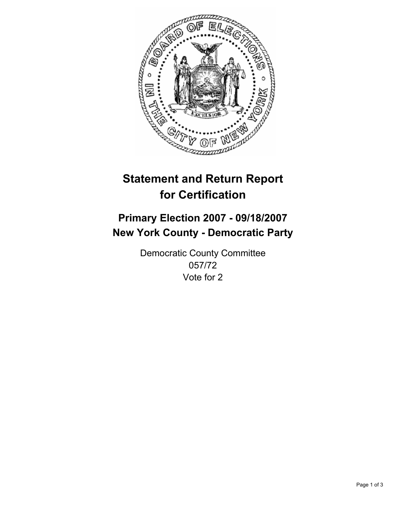

# **Statement and Return Report for Certification**

# **Primary Election 2007 - 09/18/2007 New York County - Democratic Party**

Democratic County Committee 057/72 Vote for 2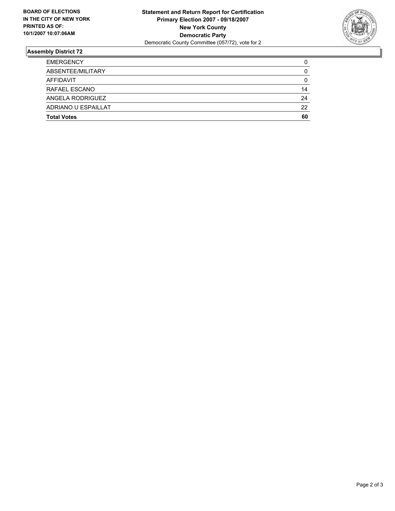

## **Assembly District 72**

| <b>EMERGENCY</b>    |    |
|---------------------|----|
| ABSENTEE/MILITARY   | U  |
| AFFIDAVIT           |    |
| RAFAEL ESCANO       | 14 |
| ANGELA RODRIGUEZ    | 24 |
| ADRIANO U ESPAILLAT | 22 |
| <b>Total Votes</b>  | 60 |